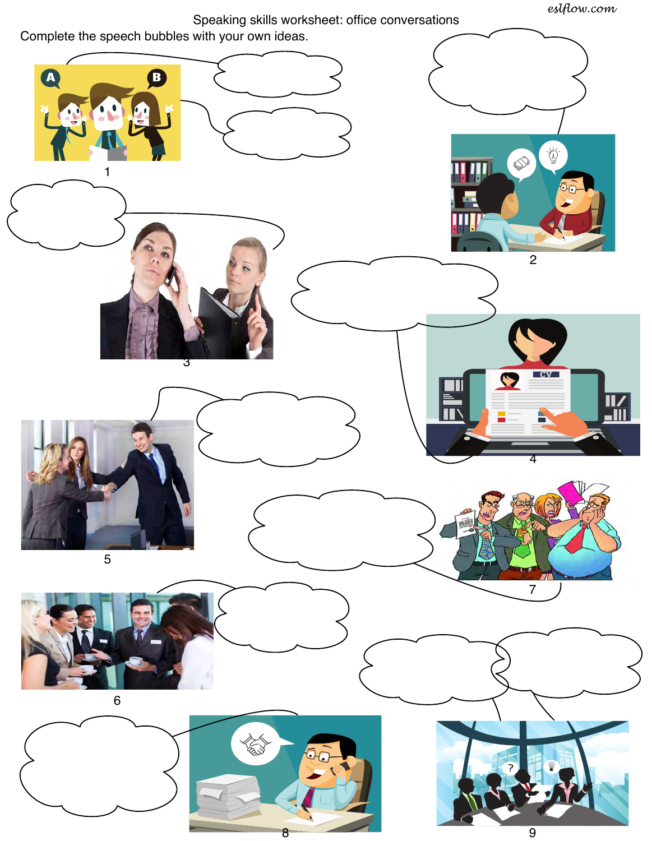*eslflow.com*

Speaking skills worksheet: office conversations



9